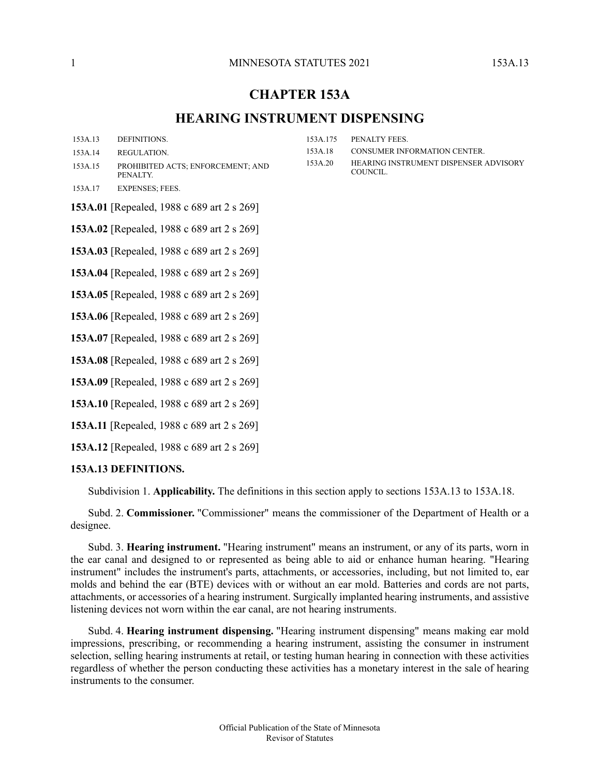#### 1 **1 MINNESOTA STATUTES** 2021 153A 13

# **CHAPTER 153A**

# **HEARING INSTRUMENT DISPENSING**

- [153A.14](#page-1-0) [REGULATION.](#page-1-0)
- PROHIBITED ACTS; [ENFORCEMENT;](#page-6-0) AND [PENALTY.](#page-6-0) [153A.15](#page-6-0)
- [153A.17](#page-9-0) [EXPENSES;](#page-9-0) FEES.
- [153A.175](#page-9-1) [PENALTY](#page-9-1) FEES. [153A.18](#page-10-0) CONSUMER [INFORMATION](#page-10-0) CENTER.
- HEARING [INSTRUMENT](#page-10-1) DISPENSER ADVISORY [COUNCIL.](#page-10-1) [153A.20](#page-10-1)

**153A.01** [Repealed, 1988 c 689 art 2 s 269]

**153A.02** [Repealed, 1988 c 689 art 2 s 269]

**153A.03** [Repealed, 1988 c 689 art 2 s 269]

**153A.04** [Repealed, 1988 c 689 art 2 s 269]

**153A.05** [Repealed, 1988 c 689 art 2 s 269]

**153A.06** [Repealed, 1988 c 689 art 2 s 269]

**153A.07** [Repealed, 1988 c 689 art 2 s 269]

**153A.08** [Repealed, 1988 c 689 art 2 s 269]

**153A.09** [Repealed, 1988 c 689 art 2 s 269]

<span id="page-0-0"></span>**153A.10** [Repealed, 1988 c 689 art 2 s 269]

**153A.11** [Repealed, 1988 c 689 art 2 s 269]

**153A.12** [Repealed, 1988 c 689 art 2 s 269]

## **153A.13 DEFINITIONS.**

Subdivision 1. **Applicability.** The definitions in this section apply to sections 153A.13 to 153A.18.

Subd. 2. **Commissioner.** "Commissioner" means the commissioner of the Department of Health or a designee.

Subd. 3. **Hearing instrument.** "Hearing instrument" means an instrument, or any of its parts, worn in the ear canal and designed to or represented as being able to aid or enhance human hearing. "Hearing instrument" includes the instrument's parts, attachments, or accessories, including, but not limited to, ear molds and behind the ear (BTE) devices with or without an ear mold. Batteries and cords are not parts, attachments, or accessories of a hearing instrument. Surgically implanted hearing instruments, and assistive listening devices not worn within the ear canal, are not hearing instruments.

Subd. 4. **Hearing instrument dispensing.** "Hearing instrument dispensing" means making ear mold impressions, prescribing, or recommending a hearing instrument, assisting the consumer in instrument selection, selling hearing instruments at retail, or testing human hearing in connection with these activities regardless of whether the person conducting these activities has a monetary interest in the sale of hearing instruments to the consumer.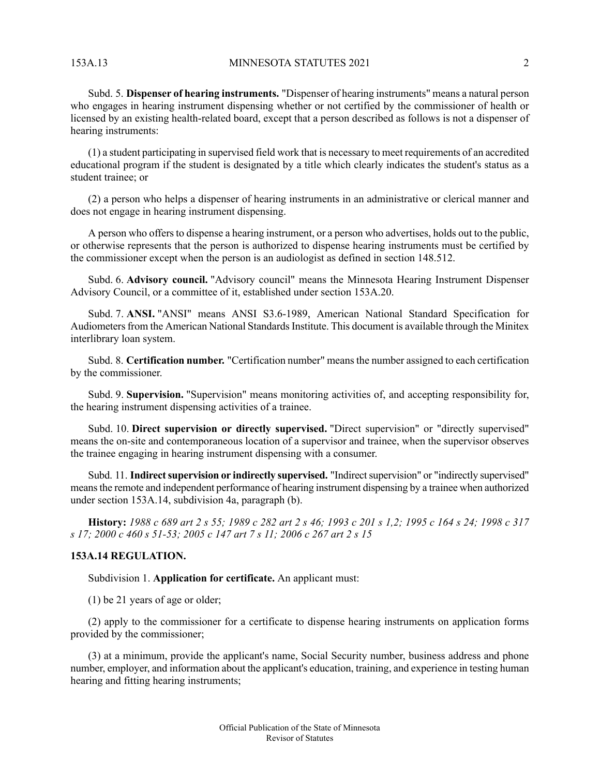153A.13 MINNESOTA STATUTES 2021 2

Subd. 5. **Dispenser of hearing instruments.** "Dispenser of hearing instruments" means a natural person who engages in hearing instrument dispensing whether or not certified by the commissioner of health or licensed by an existing health-related board, except that a person described as follows is not a dispenser of hearing instruments:

(1) a student participating in supervised field work that is necessary to meet requirements of an accredited educational program if the student is designated by a title which clearly indicates the student's status as a student trainee; or

(2) a person who helps a dispenser of hearing instruments in an administrative or clerical manner and does not engage in hearing instrument dispensing.

A person who offers to dispense a hearing instrument, or a person who advertises, holds out to the public, or otherwise represents that the person is authorized to dispense hearing instruments must be certified by the commissioner except when the person is an audiologist as defined in section 148.512.

Subd. 6. **Advisory council.** "Advisory council" means the Minnesota Hearing Instrument Dispenser Advisory Council, or a committee of it, established under section 153A.20.

Subd. 7. **ANSI.** "ANSI" means ANSI S3.6-1989, American National Standard Specification for Audiometers from the American National Standards Institute. This document is available through the Minitex interlibrary loan system.

Subd. 8. **Certification number.** "Certification number" meansthe number assigned to each certification by the commissioner.

Subd. 9. **Supervision.** "Supervision" means monitoring activities of, and accepting responsibility for, the hearing instrument dispensing activities of a trainee.

Subd. 10. **Direct supervision or directly supervised.** "Direct supervision" or "directly supervised" means the on-site and contemporaneous location of a supervisor and trainee, when the supervisor observes the trainee engaging in hearing instrument dispensing with a consumer.

<span id="page-1-0"></span>Subd. 11. **Indirectsupervision or indirectly supervised.** "Indirectsupervision" or "indirectly supervised" meansthe remote and independent performance of hearing instrument dispensing by a trainee when authorized under section 153A.14, subdivision 4a, paragraph (b).

History: 1988 c 689 art 2 s 55; 1989 c 282 art 2 s 46; 1993 c 201 s 1,2; 1995 c 164 s 24; 1998 c 317 *s 17; 2000 c 460 s 51-53; 2005 c 147 art 7 s 11; 2006 c 267 art 2 s 15*

## **153A.14 REGULATION.**

Subdivision 1. **Application for certificate.** An applicant must:

(1) be 21 years of age or older;

(2) apply to the commissioner for a certificate to dispense hearing instruments on application forms provided by the commissioner;

(3) at a minimum, provide the applicant's name, Social Security number, business address and phone number, employer, and information about the applicant's education, training, and experience in testing human hearing and fitting hearing instruments;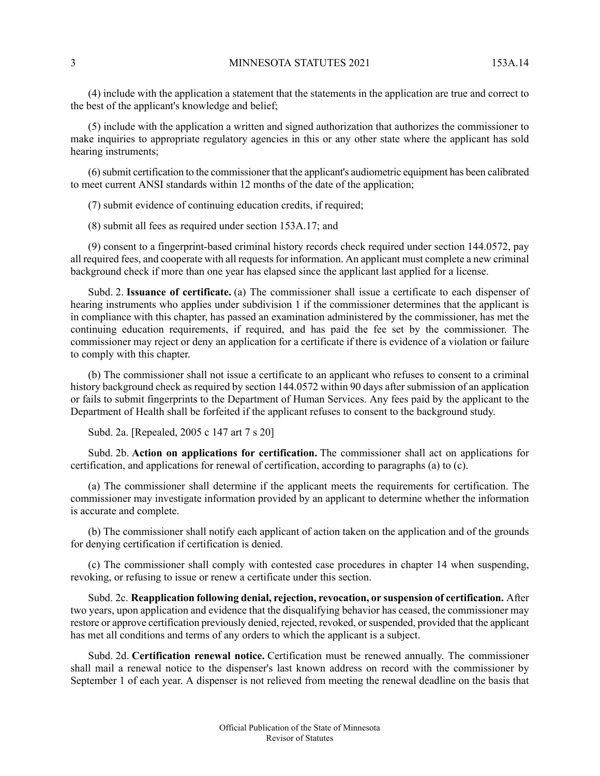(4) include with the application a statement that the statements in the application are true and correct to the best of the applicant's knowledge and belief;

(5) include with the application a written and signed authorization that authorizes the commissioner to make inquiries to appropriate regulatory agencies in this or any other state where the applicant has sold hearing instruments;

(6)submit certification to the commissioner that the applicant's audiometric equipment has been calibrated to meet current ANSI standards within 12 months of the date of the application;

(7) submit evidence of continuing education credits, if required;

(8) submit all fees as required under section 153A.17; and

(9) consent to a fingerprint-based criminal history records check required under section 144.0572, pay all required fees, and cooperate with all requests for information. An applicant must complete a new criminal background check if more than one year has elapsed since the applicant last applied for a license.

Subd. 2. **Issuance of certificate.** (a) The commissioner shall issue a certificate to each dispenser of hearing instruments who applies under subdivision 1 if the commissioner determines that the applicant is in compliance with this chapter, has passed an examination administered by the commissioner, has met the continuing education requirements, if required, and has paid the fee set by the commissioner. The commissioner may reject or deny an application for a certificate if there is evidence of a violation or failure to comply with this chapter.

(b) The commissioner shall not issue a certificate to an applicant who refuses to consent to a criminal history background check as required by section 144.0572 within 90 days after submission of an application or fails to submit fingerprints to the Department of Human Services. Any fees paid by the applicant to the Department of Health shall be forfeited if the applicant refuses to consent to the background study.

Subd. 2a. [Repealed, 2005 c 147 art 7 s 20]

Subd. 2b. **Action on applications for certification.** The commissioner shall act on applications for certification, and applications for renewal of certification, according to paragraphs (a) to (c).

(a) The commissioner shall determine if the applicant meets the requirements for certification. The commissioner may investigate information provided by an applicant to determine whether the information is accurate and complete.

(b) The commissioner shall notify each applicant of action taken on the application and of the grounds for denying certification if certification is denied.

(c) The commissioner shall comply with contested case procedures in chapter 14 when suspending, revoking, or refusing to issue or renew a certificate under this section.

Subd. 2c. **Reapplication following denial, rejection, revocation, or suspension of certification.** After two years, upon application and evidence that the disqualifying behavior has ceased, the commissioner may restore or approve certification previously denied, rejected, revoked, orsuspended, provided that the applicant has met all conditions and terms of any orders to which the applicant is a subject.

Subd. 2d. **Certification renewal notice.** Certification must be renewed annually. The commissioner shall mail a renewal notice to the dispenser's last known address on record with the commissioner by September 1 of each year. A dispenser is not relieved from meeting the renewal deadline on the basis that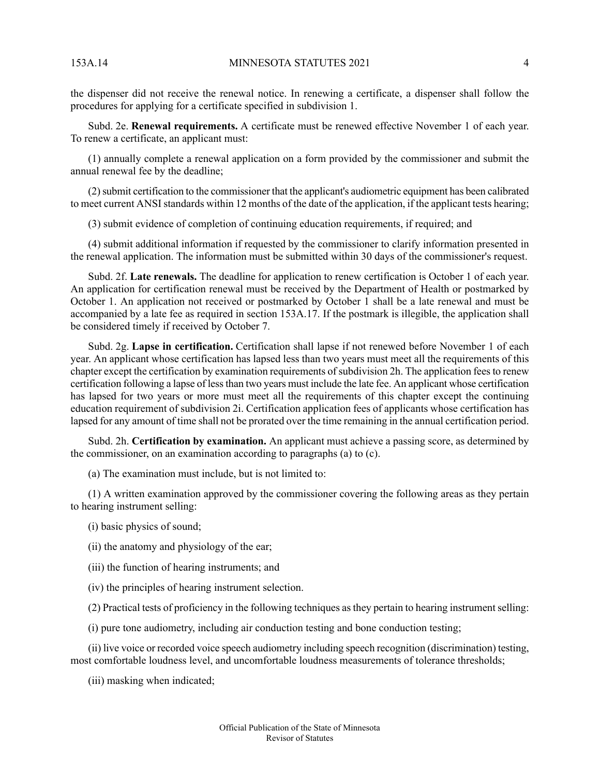the dispenser did not receive the renewal notice. In renewing a certificate, a dispenser shall follow the procedures for applying for a certificate specified in subdivision 1.

Subd. 2e. **Renewal requirements.** A certificate must be renewed effective November 1 of each year. To renew a certificate, an applicant must:

(1) annually complete a renewal application on a form provided by the commissioner and submit the annual renewal fee by the deadline;

(2)submit certification to the commissioner that the applicant's audiometric equipment has been calibrated to meet current ANSI standards within 12 months of the date of the application, if the applicant tests hearing;

(3) submit evidence of completion of continuing education requirements, if required; and

(4) submit additional information if requested by the commissioner to clarify information presented in the renewal application. The information must be submitted within 30 days of the commissioner's request.

Subd. 2f. **Late renewals.** The deadline for application to renew certification is October 1 of each year. An application for certification renewal must be received by the Department of Health or postmarked by October 1. An application not received or postmarked by October 1 shall be a late renewal and must be accompanied by a late fee as required in section 153A.17. If the postmark is illegible, the application shall be considered timely if received by October 7.

Subd. 2g. **Lapse in certification.** Certification shall lapse if not renewed before November 1 of each year. An applicant whose certification has lapsed less than two years must meet all the requirements of this chapter except the certification by examination requirements of subdivision 2h. The application fees to renew certification following a lapse of lessthan two years must include the late fee. An applicant whose certification has lapsed for two years or more must meet all the requirements of this chapter except the continuing education requirement of subdivision 2i. Certification application fees of applicants whose certification has lapsed for any amount of time shall not be prorated over the time remaining in the annual certification period.

Subd. 2h. **Certification by examination.** An applicant must achieve a passing score, as determined by the commissioner, on an examination according to paragraphs (a) to (c).

(a) The examination must include, but is not limited to:

(1) A written examination approved by the commissioner covering the following areas as they pertain to hearing instrument selling:

- (i) basic physics of sound;
- (ii) the anatomy and physiology of the ear;
- (iii) the function of hearing instruments; and
- (iv) the principles of hearing instrument selection.

(2) Practical tests of proficiency in the following techniques as they pertain to hearing instrument selling:

(i) pure tone audiometry, including air conduction testing and bone conduction testing;

(ii) live voice or recorded voice speech audiometry including speech recognition (discrimination) testing, most comfortable loudness level, and uncomfortable loudness measurements of tolerance thresholds;

(iii) masking when indicated;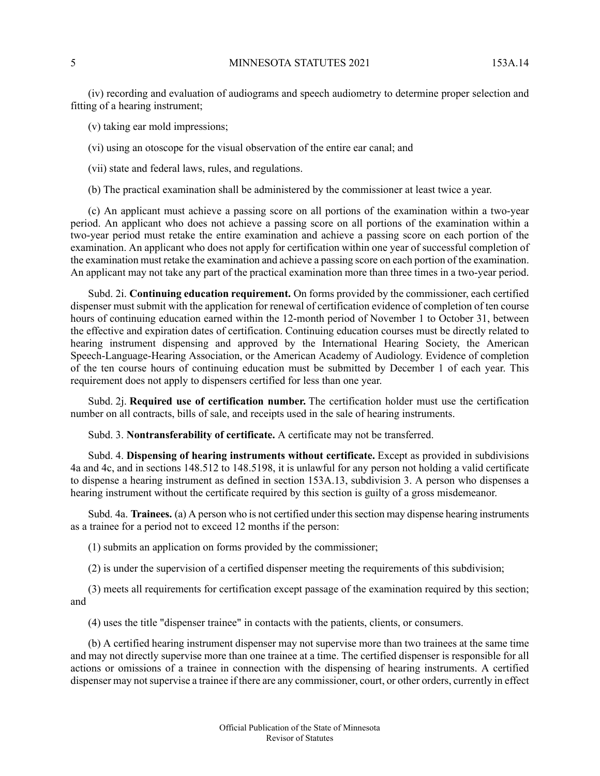(iv) recording and evaluation of audiograms and speech audiometry to determine proper selection and fitting of a hearing instrument;

(v) taking ear mold impressions;

(vi) using an otoscope for the visual observation of the entire ear canal; and

(vii) state and federal laws, rules, and regulations.

(b) The practical examination shall be administered by the commissioner at least twice a year.

(c) An applicant must achieve a passing score on all portions of the examination within a two-year period. An applicant who does not achieve a passing score on all portions of the examination within a two-year period must retake the entire examination and achieve a passing score on each portion of the examination. An applicant who does not apply for certification within one year of successful completion of the examination must retake the examination and achieve a passing score on each portion of the examination. An applicant may not take any part of the practical examination more than three times in a two-year period.

Subd. 2i. **Continuing education requirement.** On forms provided by the commissioner, each certified dispenser must submit with the application for renewal of certification evidence of completion of ten course hours of continuing education earned within the 12-month period of November 1 to October 31, between the effective and expiration dates of certification. Continuing education courses must be directly related to hearing instrument dispensing and approved by the International Hearing Society, the American Speech-Language-Hearing Association, or the American Academy of Audiology. Evidence of completion of the ten course hours of continuing education must be submitted by December 1 of each year. This requirement does not apply to dispensers certified for less than one year.

Subd. 2j. **Required use of certification number.** The certification holder must use the certification number on all contracts, bills of sale, and receipts used in the sale of hearing instruments.

Subd. 3. **Nontransferability of certificate.** A certificate may not be transferred.

Subd. 4. **Dispensing of hearing instruments without certificate.** Except as provided in subdivisions 4a and 4c, and in sections 148.512 to 148.5198, it is unlawful for any person not holding a valid certificate to dispense a hearing instrument as defined in section 153A.13, subdivision 3. A person who dispenses a hearing instrument without the certificate required by this section is guilty of a gross misdemeanor.

Subd. 4a. **Trainees.** (a) A person who is not certified under thissection may dispense hearing instruments as a trainee for a period not to exceed 12 months if the person:

(1) submits an application on forms provided by the commissioner;

(2) is under the supervision of a certified dispenser meeting the requirements of this subdivision;

(3) meets all requirements for certification except passage of the examination required by this section; and

(4) uses the title "dispenser trainee" in contacts with the patients, clients, or consumers.

(b) A certified hearing instrument dispenser may not supervise more than two trainees at the same time and may not directly supervise more than one trainee at a time. The certified dispenser is responsible for all actions or omissions of a trainee in connection with the dispensing of hearing instruments. A certified dispenser may not supervise a trainee if there are any commissioner, court, or other orders, currently in effect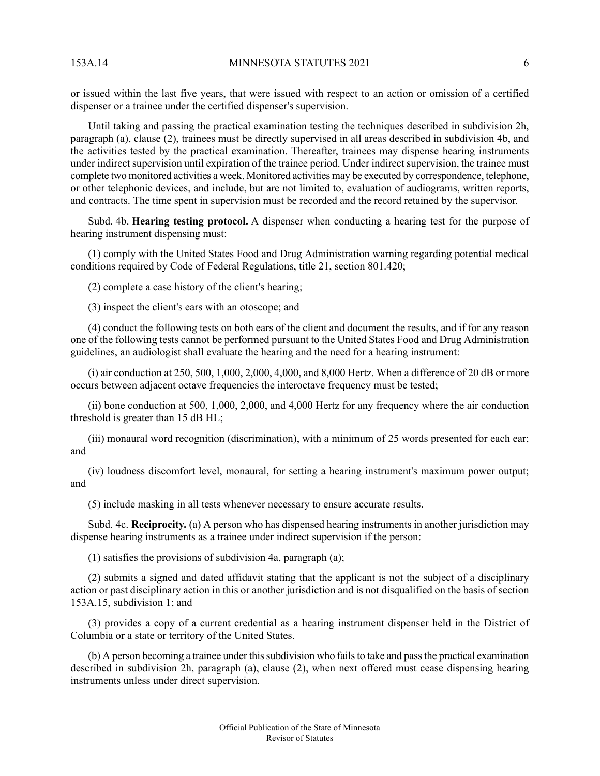or issued within the last five years, that were issued with respect to an action or omission of a certified dispenser or a trainee under the certified dispenser's supervision.

Until taking and passing the practical examination testing the techniques described in subdivision 2h, paragraph (a), clause (2), trainees must be directly supervised in all areas described in subdivision 4b, and the activities tested by the practical examination. Thereafter, trainees may dispense hearing instruments under indirect supervision until expiration of the trainee period. Under indirect supervision, the trainee must complete two monitored activities a week. Monitored activities may be executed by correspondence, telephone, or other telephonic devices, and include, but are not limited to, evaluation of audiograms, written reports, and contracts. The time spent in supervision must be recorded and the record retained by the supervisor.

Subd. 4b. **Hearing testing protocol.** A dispenser when conducting a hearing test for the purpose of hearing instrument dispensing must:

(1) comply with the United States Food and Drug Administration warning regarding potential medical conditions required by Code of Federal Regulations, title 21, section 801.420;

(2) complete a case history of the client's hearing;

(3) inspect the client's ears with an otoscope; and

(4) conduct the following tests on both ears of the client and document the results, and if for any reason one of the following tests cannot be performed pursuant to the United States Food and Drug Administration guidelines, an audiologist shall evaluate the hearing and the need for a hearing instrument:

 $(i)$  air conduction at 250, 500, 1,000, 2,000, 4,000, and 8,000 Hertz. When a difference of 20 dB or more occurs between adjacent octave frequencies the interoctave frequency must be tested;

(ii) bone conduction at 500, 1,000, 2,000, and 4,000 Hertz for any frequency where the air conduction threshold is greater than 15 dB HL;

(iii) monaural word recognition (discrimination), with a minimum of 25 words presented for each ear; and

(iv) loudness discomfort level, monaural, for setting a hearing instrument's maximum power output; and

(5) include masking in all tests whenever necessary to ensure accurate results.

Subd. 4c. **Reciprocity.** (a) A person who has dispensed hearing instruments in another jurisdiction may dispense hearing instruments as a trainee under indirect supervision if the person:

(1) satisfies the provisions of subdivision 4a, paragraph (a);

(2) submits a signed and dated affidavit stating that the applicant is not the subject of a disciplinary action or past disciplinary action in this or another jurisdiction and is not disqualified on the basis of section 153A.15, subdivision 1; and

(3) provides a copy of a current credential as a hearing instrument dispenser held in the District of Columbia or a state or territory of the United States.

(b) A person becoming a trainee under this subdivision who fails to take and pass the practical examination described in subdivision 2h, paragraph (a), clause (2), when next offered must cease dispensing hearing instruments unless under direct supervision.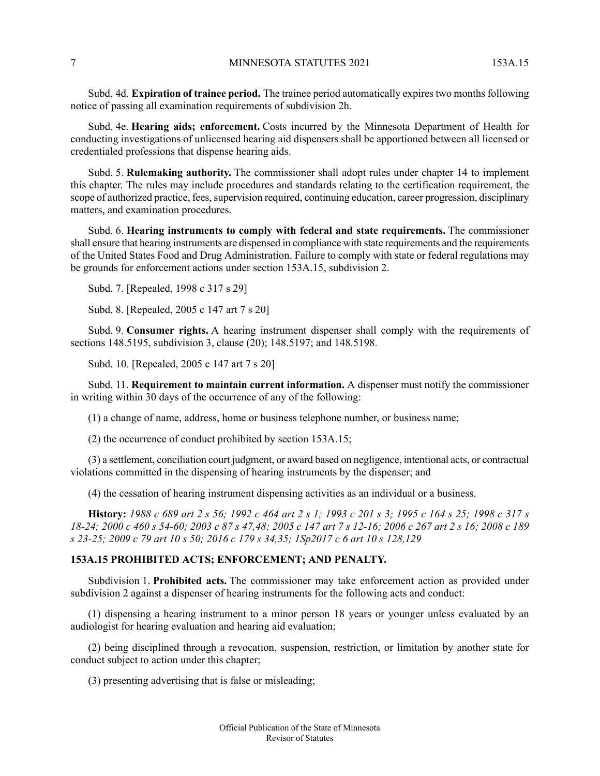Subd. 4d. **Expiration of trainee period.** The trainee period automatically expirestwo monthsfollowing notice of passing all examination requirements of subdivision 2h.

Subd. 4e. **Hearing aids; enforcement.** Costs incurred by the Minnesota Department of Health for conducting investigations of unlicensed hearing aid dispensers shall be apportioned between all licensed or credentialed professions that dispense hearing aids.

Subd. 5. **Rulemaking authority.** The commissioner shall adopt rules under chapter 14 to implement this chapter. The rules may include procedures and standards relating to the certification requirement, the scope of authorized practice, fees, supervision required, continuing education, career progression, disciplinary matters, and examination procedures.

Subd. 6. **Hearing instruments to comply with federal and state requirements.** The commissioner shall ensure that hearing instruments are dispensed in compliance with state requirements and the requirements of the United States Food and Drug Administration. Failure to comply with state or federal regulations may be grounds for enforcement actions under section 153A.15, subdivision 2.

Subd. 7. [Repealed, 1998 c 317 s 29]

Subd. 8. [Repealed, 2005 c 147 art 7 s 20]

Subd. 9. **Consumer rights.** A hearing instrument dispenser shall comply with the requirements of sections 148.5195, subdivision 3, clause (20); 148.5197; and 148.5198.

Subd. 10. [Repealed, 2005 c 147 art 7 s 20]

Subd. 11. **Requirement to maintain current information.** A dispenser must notify the commissioner in writing within 30 days of the occurrence of any of the following:

(1) a change of name, address, home or business telephone number, or business name;

(2) the occurrence of conduct prohibited by section 153A.15;

(3) a settlement, conciliation court judgment, or award based on negligence, intentional acts, or contractual violations committed in the dispensing of hearing instruments by the dispenser; and

<span id="page-6-0"></span>(4) the cessation of hearing instrument dispensing activities as an individual or a business.

History: 1988 c 689 art 2 s 56; 1992 c 464 art 2 s 1; 1993 c 201 s 3; 1995 c 164 s 25; 1998 c 317 s 18-24; 2000 c 460 s 54-60; 2003 c 87 s 47,48; 2005 c 147 art 7 s 12-16; 2006 c 267 art 2 s 16; 2008 c 189 s 23-25; 2009 c 79 art 10 s 50; 2016 c 179 s 34,35; 1Sp2017 c 6 art 10 s 128,129

#### **153A.15 PROHIBITED ACTS; ENFORCEMENT; AND PENALTY.**

Subdivision 1. **Prohibited acts.** The commissioner may take enforcement action as provided under subdivision 2 against a dispenser of hearing instruments for the following acts and conduct:

(1) dispensing a hearing instrument to a minor person 18 years or younger unless evaluated by an audiologist for hearing evaluation and hearing aid evaluation;

(2) being disciplined through a revocation, suspension, restriction, or limitation by another state for conduct subject to action under this chapter;

(3) presenting advertising that is false or misleading;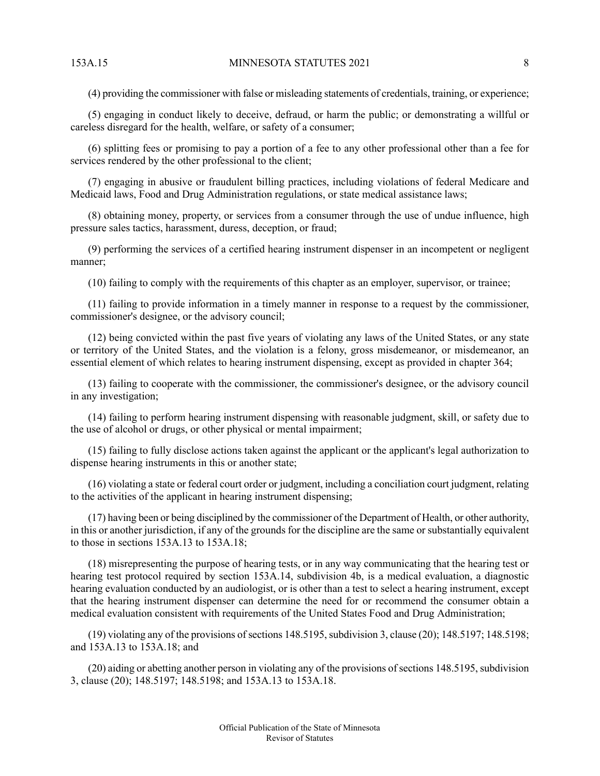(4) providing the commissioner with false or misleading statements of credentials, training, or experience;

(5) engaging in conduct likely to deceive, defraud, or harm the public; or demonstrating a willful or careless disregard for the health, welfare, or safety of a consumer;

(6) splitting fees or promising to pay a portion of a fee to any other professional other than a fee for services rendered by the other professional to the client;

(7) engaging in abusive or fraudulent billing practices, including violations of federal Medicare and Medicaid laws, Food and Drug Administration regulations, or state medical assistance laws;

(8) obtaining money, property, or services from a consumer through the use of undue influence, high pressure sales tactics, harassment, duress, deception, or fraud;

(9) performing the services of a certified hearing instrument dispenser in an incompetent or negligent manner;

(10) failing to comply with the requirements of this chapter as an employer, supervisor, or trainee;

(11) failing to provide information in a timely manner in response to a request by the commissioner, commissioner's designee, or the advisory council;

(12) being convicted within the past five years of violating any laws of the United States, or any state or territory of the United States, and the violation is a felony, gross misdemeanor, or misdemeanor, an essential element of which relates to hearing instrument dispensing, except as provided in chapter 364;

(13) failing to cooperate with the commissioner, the commissioner's designee, or the advisory council in any investigation;

(14) failing to perform hearing instrument dispensing with reasonable judgment, skill, or safety due to the use of alcohol or drugs, or other physical or mental impairment;

(15) failing to fully disclose actions taken against the applicant or the applicant's legal authorization to dispense hearing instruments in this or another state;

(16) violating a state or federal court order or judgment, including a conciliation court judgment, relating to the activities of the applicant in hearing instrument dispensing;

(17) having been or being disciplined by the commissioner of the Department of Health, or other authority, in this or another jurisdiction, if any of the grounds for the discipline are the same or substantially equivalent to those in sections 153A.13 to 153A.18;

(18) misrepresenting the purpose of hearing tests, or in any way communicating that the hearing test or hearing test protocol required by section 153A.14, subdivision 4b, is a medical evaluation, a diagnostic hearing evaluation conducted by an audiologist, or is other than a test to select a hearing instrument, except that the hearing instrument dispenser can determine the need for or recommend the consumer obtain a medical evaluation consistent with requirements of the United States Food and Drug Administration;

 $(19)$  violating any of the provisions of sections 148.5195, subdivision 3, clause (20); 148.5197; 148.5198; and 153A.13 to 153A.18; and

(20) aiding or abetting another person in violating any of the provisions of sections 148.5195, subdivision 3, clause (20); 148.5197; 148.5198; and 153A.13 to 153A.18.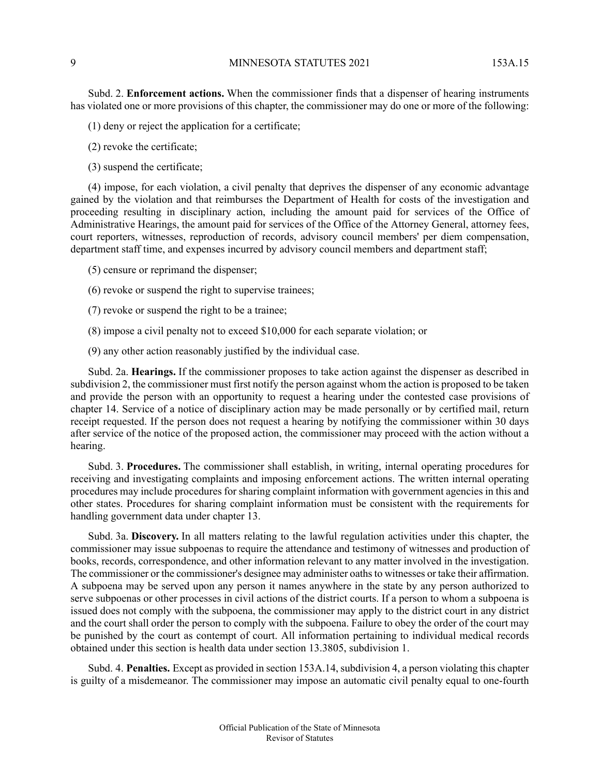Subd. 2. **Enforcement actions.** When the commissioner finds that a dispenser of hearing instruments has violated one or more provisions of this chapter, the commissioner may do one or more of the following:

(1) deny or reject the application for a certificate;

(2) revoke the certificate;

(3) suspend the certificate;

(4) impose, for each violation, a civil penalty that deprives the dispenser of any economic advantage gained by the violation and that reimburses the Department of Health for costs of the investigation and proceeding resulting in disciplinary action, including the amount paid for services of the Office of Administrative Hearings, the amount paid for services of the Office of the Attorney General, attorney fees, court reporters, witnesses, reproduction of records, advisory council members' per diem compensation, department staff time, and expenses incurred by advisory council members and department staff;

(5) censure or reprimand the dispenser;

(6) revoke or suspend the right to supervise trainees;

(7) revoke or suspend the right to be a trainee;

(8) impose a civil penalty not to exceed \$10,000 for each separate violation; or

(9) any other action reasonably justified by the individual case.

Subd. 2a. **Hearings.** If the commissioner proposes to take action against the dispenser as described in subdivision 2, the commissioner must first notify the person against whom the action is proposed to be taken and provide the person with an opportunity to request a hearing under the contested case provisions of chapter 14. Service of a notice of disciplinary action may be made personally or by certified mail, return receipt requested. If the person does not request a hearing by notifying the commissioner within 30 days after service of the notice of the proposed action, the commissioner may proceed with the action without a hearing.

Subd. 3. **Procedures.** The commissioner shall establish, in writing, internal operating procedures for receiving and investigating complaints and imposing enforcement actions. The written internal operating procedures may include procedures for sharing complaint information with government agencies in this and other states. Procedures for sharing complaint information must be consistent with the requirements for handling government data under chapter 13.

Subd. 3a. **Discovery.** In all matters relating to the lawful regulation activities under this chapter, the commissioner may issue subpoenas to require the attendance and testimony of witnesses and production of books, records, correspondence, and other information relevant to any matter involved in the investigation. The commissioner or the commissioner's designee may administer oathsto witnesses or take their affirmation. A subpoena may be served upon any person it names anywhere in the state by any person authorized to serve subpoenas or other processes in civil actions of the district courts. If a person to whom a subpoena is issued does not comply with the subpoena, the commissioner may apply to the district court in any district and the court shall order the person to comply with the subpoena. Failure to obey the order of the court may be punished by the court as contempt of court. All information pertaining to individual medical records obtained under this section is health data under section 13.3805, subdivision 1.

Subd. 4. **Penalties.** Except as provided in section 153A.14, subdivision 4, a person violating this chapter is guilty of a misdemeanor. The commissioner may impose an automatic civil penalty equal to one-fourth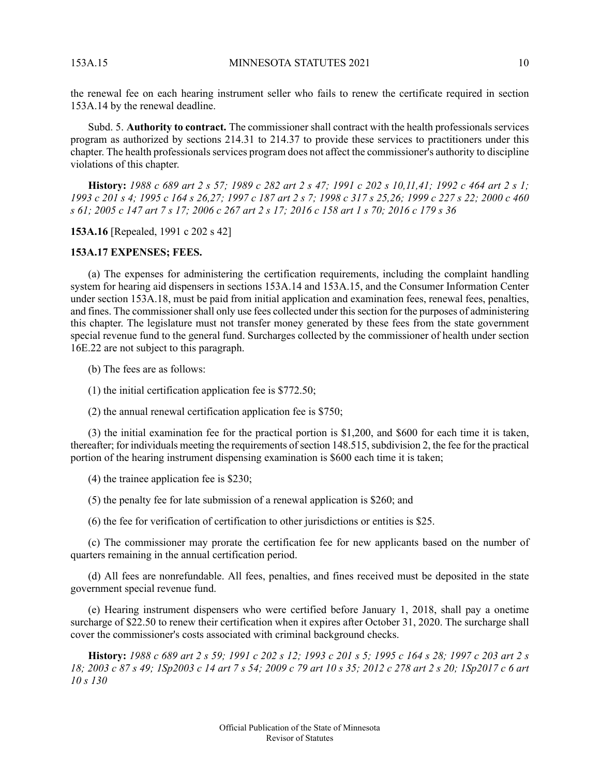the renewal fee on each hearing instrument seller who fails to renew the certificate required in section 153A.14 by the renewal deadline.

Subd. 5. **Authority to contract.** The commissioner shall contract with the health professionals services program as authorized by sections 214.31 to 214.37 to provide these services to practitioners under this chapter. The health professionalsservices program does not affect the commissioner's authority to discipline violations of this chapter.

History: 1988 c 689 art 2 s 57; 1989 c 282 art 2 s 47; 1991 c 202 s 10, 11, 41; 1992 c 464 art 2 s 1; 1993 c 201 s 4; 1995 c 164 s 26,27; 1997 c 187 art 2 s 7; 1998 c 317 s 25,26; 1999 c 227 s 22; 2000 c 460 s 61; 2005 c 147 art 7 s 17; 2006 c 267 art 2 s 17; 2016 c 158 art 1 s 70; 2016 c 179 s 36

<span id="page-9-0"></span>**153A.16** [Repealed, 1991 c 202 s 42]

### **153A.17 EXPENSES; FEES.**

(a) The expenses for administering the certification requirements, including the complaint handling system for hearing aid dispensers in sections 153A.14 and 153A.15, and the Consumer Information Center under section 153A.18, must be paid from initial application and examination fees, renewal fees, penalties, and fines. The commissioner shall only use fees collected under this section for the purposes of administering this chapter. The legislature must not transfer money generated by these fees from the state government special revenue fund to the general fund. Surcharges collected by the commissioner of health under section 16E.22 are not subject to this paragraph.

(b) The fees are as follows:

(1) the initial certification application fee is \$772.50;

(2) the annual renewal certification application fee is \$750;

(3) the initial examination fee for the practical portion is \$1,200, and \$600 for each time it is taken, thereafter; for individuals meeting the requirements of section 148.515, subdivision 2, the fee for the practical portion of the hearing instrument dispensing examination is \$600 each time it is taken;

(4) the trainee application fee is \$230;

(5) the penalty fee for late submission of a renewal application is \$260; and

(6) the fee for verification of certification to other jurisdictions or entities is \$25.

(c) The commissioner may prorate the certification fee for new applicants based on the number of quarters remaining in the annual certification period.

(d) All fees are nonrefundable. All fees, penalties, and fines received must be deposited in the state government special revenue fund.

<span id="page-9-1"></span>(e) Hearing instrument dispensers who were certified before January 1, 2018, shall pay a onetime surcharge of \$22.50 to renew their certification when it expires after October 31, 2020. The surcharge shall cover the commissioner's costs associated with criminal background checks.

**History:** 1988 c 689 art 2 s 59; 1991 c 202 s 12; 1993 c 201 s 5; 1995 c 164 s 28; 1997 c 203 art 2 s 18; 2003 c 87 s 49; 1Sp2003 c 14 art 7 s 54; 2009 c 79 art 10 s 35; 2012 c 278 art 2 s 20; 1Sp2017 c 6 art *10 s 130*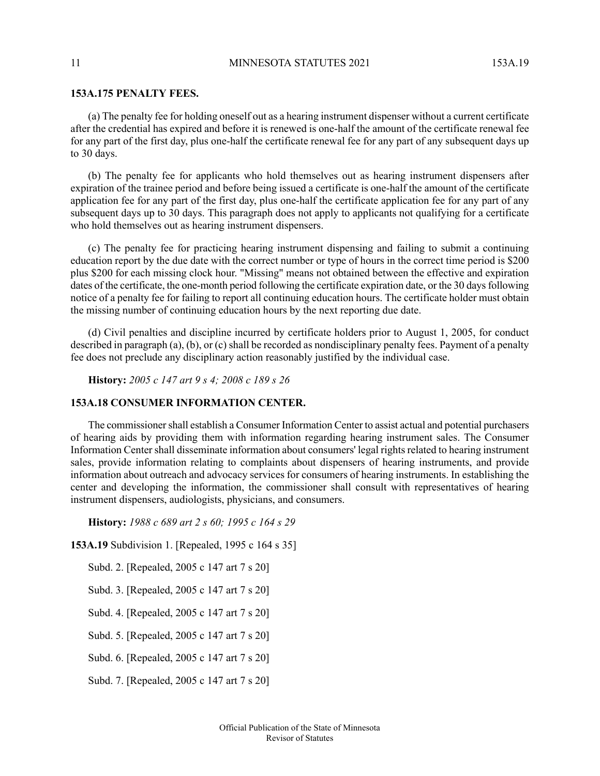# **153A.175 PENALTY FEES.**

(a) The penalty fee for holding oneself out as a hearing instrument dispenser without a current certificate after the credential has expired and before it is renewed is one-half the amount of the certificate renewal fee for any part of the first day, plus one-half the certificate renewal fee for any part of any subsequent days up to 30 days.

(b) The penalty fee for applicants who hold themselves out as hearing instrument dispensers after expiration of the trainee period and before being issued a certificate is one-half the amount of the certificate application fee for any part of the first day, plus one-half the certificate application fee for any part of any subsequent days up to 30 days. This paragraph does not apply to applicants not qualifying for a certificate who hold themselves out as hearing instrument dispensers.

(c) The penalty fee for practicing hearing instrument dispensing and failing to submit a continuing education report by the due date with the correct number or type of hours in the correct time period is \$200 plus \$200 for each missing clock hour. "Missing" means not obtained between the effective and expiration dates of the certificate, the one-month period following the certificate expiration date, or the 30 days following notice of a penalty fee for failing to report all continuing education hours. The certificate holder must obtain the missing number of continuing education hours by the next reporting due date.

<span id="page-10-0"></span>(d) Civil penalties and discipline incurred by certificate holders prior to August 1, 2005, for conduct described in paragraph (a), (b), or (c) shall be recorded as nondisciplinary penalty fees. Payment of a penalty fee does not preclude any disciplinary action reasonably justified by the individual case.

**History:** *2005 c 147 art 9 s 4; 2008 c 189 s 26*

# **153A.18 CONSUMER INFORMATION CENTER.**

The commissioner shall establish a Consumer Information Center to assist actual and potential purchasers of hearing aids by providing them with information regarding hearing instrument sales. The Consumer Information Center shall disseminate information about consumers' legal rights related to hearing instrument sales, provide information relating to complaints about dispensers of hearing instruments, and provide information about outreach and advocacy services for consumers of hearing instruments. In establishing the center and developing the information, the commissioner shall consult with representatives of hearing instrument dispensers, audiologists, physicians, and consumers.

**History:** *1988 c 689 art 2 s 60; 1995 c 164 s 29*

**153A.19** Subdivision 1. [Repealed, 1995 c 164 s 35]

Subd. 2. [Repealed, 2005 c 147 art 7 s 20]

<span id="page-10-1"></span>Subd. 3. [Repealed, 2005 c 147 art 7 s 20]

Subd. 4. [Repealed, 2005 c 147 art 7 s 20]

Subd. 5. [Repealed, 2005 c 147 art 7 s 20]

Subd. 6. [Repealed, 2005 c 147 art 7 s 20]

Subd. 7. [Repealed, 2005 c 147 art 7 s 20]